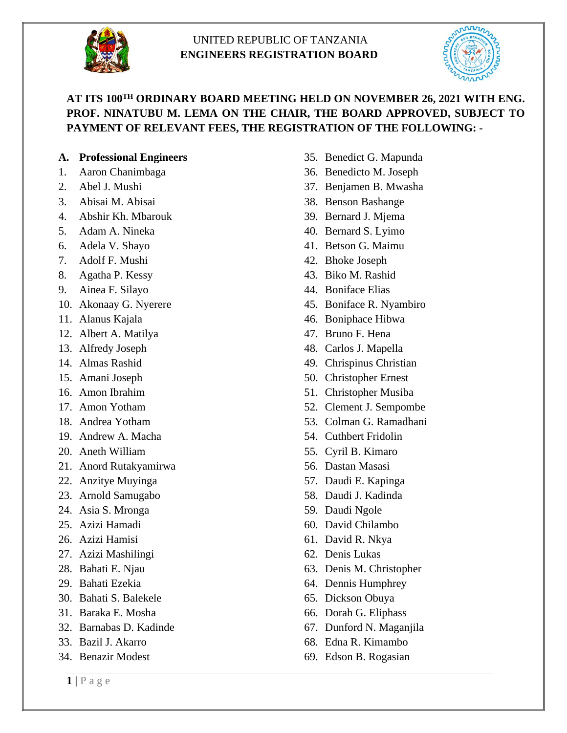

## UNITED REPUBLIC OF TANZANIA **ENGINEERS REGISTRATION BOARD**



## **AT ITS 100TH ORDINARY BOARD MEETING HELD ON NOVEMBER 26, 2021 WITH ENG. PROF. NINATUBU M. LEMA ON THE CHAIR, THE BOARD APPROVED, SUBJECT TO PAYMENT OF RELEVANT FEES, THE REGISTRATION OF THE FOLLOWING: -**

#### **A. Professional Engineers**

- 1. Aaron Chanimbaga
- 2. Abel J. Mushi
- 3. Abisai M. Abisai
- 4. Abshir Kh. Mbarouk
- 5. Adam A. Nineka
- 6. Adela V. Shayo
- 7. Adolf F. Mushi
- 8. Agatha P. Kessy
- 9. Ainea F. Silayo
- 10. Akonaay G. Nyerere
- 11. Alanus Kajala
- 12. Albert A. Matilya
- 13. Alfredy Joseph
- 14. Almas Rashid
- 15. Amani Joseph
- 16. Amon Ibrahim
- 17. Amon Yotham
- 18. Andrea Yotham
- 19. Andrew A. Macha
- 20. Aneth William
- 21. Anord Rutakyamirwa
- 22. Anzitye Muyinga
- 23. Arnold Samugabo
- 24. Asia S. Mronga
- 25. Azizi Hamadi
- 26. Azizi Hamisi
- 27. Azizi Mashilingi
- 28. Bahati E. Njau
- 29. Bahati Ezekia
- 30. Bahati S. Balekele
- 31. Baraka E. Mosha
- 32. Barnabas D. Kadinde
- 33. Bazil J. Akarro
- 34. Benazir Modest
- 35. Benedict G. Mapunda
- 36. Benedicto M. Joseph
- 37. Benjamen B. Mwasha
- 38. Benson Bashange
- 39. Bernard J. Mjema
- 40. Bernard S. Lyimo
- 41. Betson G. Maimu
- 42. Bhoke Joseph
- 43. Biko M. Rashid
- 44. Boniface Elias
- 45. Boniface R. Nyambiro
- 46. Boniphace Hibwa
- 47. Bruno F. Hena
- 48. Carlos J. Mapella
- 49. Chrispinus Christian
- 50. Christopher Ernest
- 51. Christopher Musiba
- 52. Clement J. Sempombe
- 53. Colman G. Ramadhani
- 54. Cuthbert Fridolin
- 55. Cyril B. Kimaro
- 56. Dastan Masasi
- 57. Daudi E. Kapinga
- 58. Daudi J. Kadinda
- 59. Daudi Ngole
- 60. David Chilambo
- 61. David R. Nkya
- 62. Denis Lukas
- 63. Denis M. Christopher
- 64. Dennis Humphrey
- 65. Dickson Obuya
- 66. Dorah G. Eliphass
- 67. Dunford N. Maganjila
- 68. Edna R. Kimambo
- 69. Edson B. Rogasian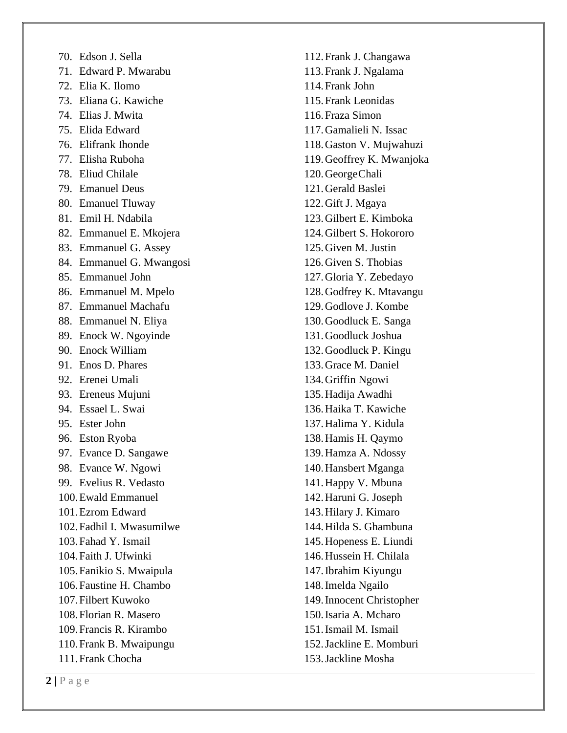70. Edson J. Sella 71. Edward P. Mwarabu 72. Elia K. Ilomo 73. Eliana G. Kawiche 74. Elias J. Mwita 75. Elida Edward 76. Elifrank Ihonde 77. Elisha Ruboha 78. Eliud Chilale 79. Emanuel Deus 80. Emanuel Tluway 81. Emil H. Ndabila 82. Emmanuel E. Mkojera 83. Emmanuel G. Assey 84. Emmanuel G. Mwangosi 85. Emmanuel John 86. Emmanuel M. Mpelo 87. Emmanuel Machafu 88. Emmanuel N. Eliya 89. Enock W. Ngoyinde 90. Enock William 91. Enos D. Phares 92. Erenei Umali 93. Ereneus Mujuni 94. Essael L. Swai 95. Ester John 96. Eston Ryoba 97. Evance D. Sangawe 98. Evance W. Ngowi 99. Evelius R. Vedasto 100.Ewald Emmanuel 101.Ezrom Edward 102.Fadhil I. Mwasumilwe 103.Fahad Y. Ismail 104.Faith J. Ufwinki 105.Fanikio S. Mwaipula 106.Faustine H. Chambo 107.Filbert Kuwoko 108.Florian R. Masero 109.Francis R. Kirambo 110.Frank B. Mwaipungu 111.Frank Chocha

112.Frank J. Changawa 113.Frank J. Ngalama 114.Frank John 115.Frank Leonidas 116.Fraza Simon 117.Gamalieli N. Issac 118.Gaston V. Mujwahuzi 119.Geoffrey K. Mwanjoka 120.GeorgeChali 121.Gerald Baslei 122.Gift J. Mgaya 123.Gilbert E. Kimboka 124.Gilbert S. Hokororo 125.Given M. Justin 126.Given S. Thobias 127.Gloria Y. Zebedayo 128.Godfrey K. Mtavangu 129.Godlove J. Kombe 130.Goodluck E. Sanga 131.Goodluck Joshua 132.Goodluck P. Kingu 133.Grace M. Daniel 134.Griffin Ngowi 135.Hadija Awadhi 136.Haika T. Kawiche 137.Halima Y. Kidula 138.Hamis H. Qaymo 139.Hamza A. Ndossy 140.Hansbert Mganga 141.Happy V. Mbuna 142.Haruni G. Joseph 143.Hilary J. Kimaro 144.Hilda S. Ghambuna 145.Hopeness E. Liundi 146.Hussein H. Chilala 147.Ibrahim Kiyungu 148.Imelda Ngailo 149.Innocent Christopher 150.Isaria A. Mcharo 151.Ismail M. Ismail 152.Jackline E. Momburi 153.Jackline Mosha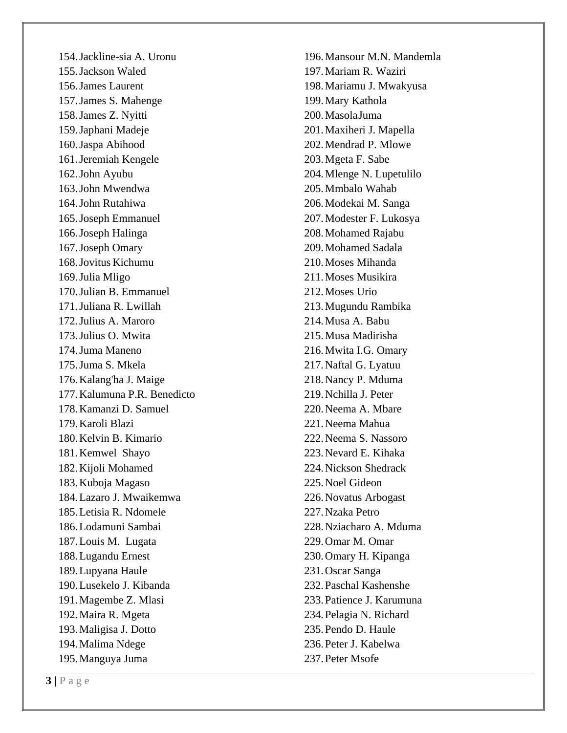154.Jackline-sia A. Uronu 155.Jackson Waled 156.James Laurent 157.James S. Mahenge 158.James Z. Nyitti 159.Japhani Madeje 160.Jaspa Abihood 161.Jeremiah Kengele 162.John Ayubu 163.John Mwendwa 164.John Rutahiwa 165.Joseph Emmanuel 166.Joseph Halinga 167.Joseph Omary 168.Jovitus Kichumu 169.Julia Mligo 170.Julian B. Emmanuel 171.Juliana R. Lwillah 172.Julius A. Maroro 173.Julius O. Mwita 174.Juma Maneno 175.Juma S. Mkela 176.Kalang'ha J. Maige 177.Kalumuna P.R. Benedicto 178.Kamanzi D. Samuel 179.Karoli Blazi 180.Kelvin B. Kimario 181.Kemwel Shayo 182.Kijoli Mohamed 183.Kuboja Magaso 184.Lazaro J. Mwaikemwa 185.Letisia R. Ndomele 186.Lodamuni Sambai 187.Louis M. Lugata 188.Lugandu Ernest 189.Lupyana Haule 190.Lusekelo J. Kibanda 191.Magembe Z. Mlasi 192.Maira R. Mgeta 193.Maligisa J. Dotto 194.Malima Ndege 195.Manguya Juma

196.Mansour M.N. Mandemla 197.Mariam R. Waziri 198.Mariamu J. Mwakyusa 199.Mary Kathola 200.MasolaJuma 201.Maxiheri J. Mapella 202.Mendrad P. Mlowe 203.Mgeta F. Sabe 204.Mlenge N. Lupetulilo 205.Mmbalo Wahab 206.Modekai M. Sanga 207.Modester F. Lukosya 208.Mohamed Rajabu 209.Mohamed Sadala 210.Moses Mihanda 211.Moses Musikira 212.Moses Urio 213.Mugundu Rambika 214.Musa A. Babu 215.Musa Madirisha 216.Mwita I.G. Omary 217.Naftal G. Lyatuu 218.Nancy P. Mduma 219.Nchilla J. Peter 220.Neema A. Mbare 221.Neema Mahua 222.Neema S. Nassoro 223.Nevard E. Kihaka 224.Nickson Shedrack 225.Noel Gideon 226.Novatus Arbogast 227.Nzaka Petro 228.Nziacharo A. Mduma 229.Omar M. Omar 230.Omary H. Kipanga 231.Oscar Sanga 232.Paschal Kashenshe 233.Patience J. Karumuna 234.Pelagia N. Richard 235.Pendo D. Haule 236.Peter J. Kabelwa 237.Peter Msofe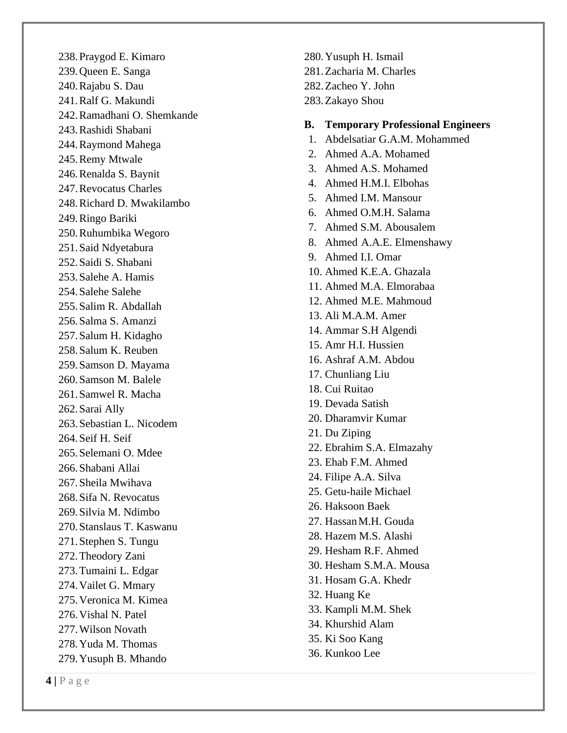238.Praygod E. Kimaro 239. Queen E. Sanga 240.Rajabu S. Dau 241.Ralf G. Makundi 242.Ramadhani O. Shemkande 243.Rashidi Shabani 244.Raymond Mahega 245.Remy Mtwale 246.Renalda S. Baynit 247.Revocatus Charles 248.Richard D. Mwakilambo 249.Ringo Bariki 250.Ruhumbika Wegoro 251.Said Ndyetabura 252.Saidi S. Shabani 253.Salehe A. Hamis 254.Salehe Salehe 255.Salim R . Abdallah 256.Salma S. Amanzi 257.Salum H. Kidagho 258.Salum K. Reuben 259.Samson D. Mayama 260.Samson M. Balele 261.Samwel R. Macha 262.Sarai Ally 263.Sebastian L. Nicodem 264.Seif H. Seif 265.Selemani O. Mdee 266.Shaba n i Allai 267.Sheila Mwihava 268.Sifa N. Revocatus 269.Silvia M. Ndimbo 270.Stanslaus T. Kaswanu 271.Stephen S. Tungu 272.Theodory Zani 273.Tumaini L. Edgar 274.Vailet G. Mmary 275.Veronica M. Kimea 276.Vishal N. Patel 277.Wilson Novath 278.Yuda M. Thomas 279.Yusuph B. Mhando

280.Yusuph H. Ismail 281. Zacharia M. Charles 282. Zacheo Y. John 283. Zakayo Shou **B. Temporary Professional Engineers** 1. Abdelsatiar G.A.M. Mohammed 2. Ahmed A.A. Mohamed 3. Ahmed A.S. Mohamed 4. Ahmed H.M.I. Elbohas 5. Ahmed I.M. Mansour 6. Ahmed O.M.H. Salama 7. Ahmed S.M. Abousalem 8. Ahmed A.A.E. Elmenshawy 9. Ahmed I .I. Omar 10. Ahmed K.E.A. Ghazala 11. Ahmed M.A. Elmorabaa 12. Ahmed M.E. Mahmoud 13. Ali M.A.M. Amer 14. Ammar S.H Algendi 15. Amr H.I. Hussien 16. Ashraf A.M. Abdou 17. Chunliang Liu 18. Cui Ruitao 19. Devada Satish 20. Dharamvir Kumar 21. Du Ziping 22. Ebrahim S.A. Elmazahy 23. Ehab F.M. Ahmed 24. Filipe A.A. Silva 25. Getu -haile Michael 26. Haksoon Baek 27. HassanM.H. Gouda 28. Hazem M.S. Alashi 29. Hesham R.F. Ahmed 30. Hesham S.M.A. Mousa 31. Hosam G.A. Khedr 32. Huang Ke 33. Kampli M.M. Shek 34. Khurshid Alam 35. Ki Soo Kang 36. Kunkoo Lee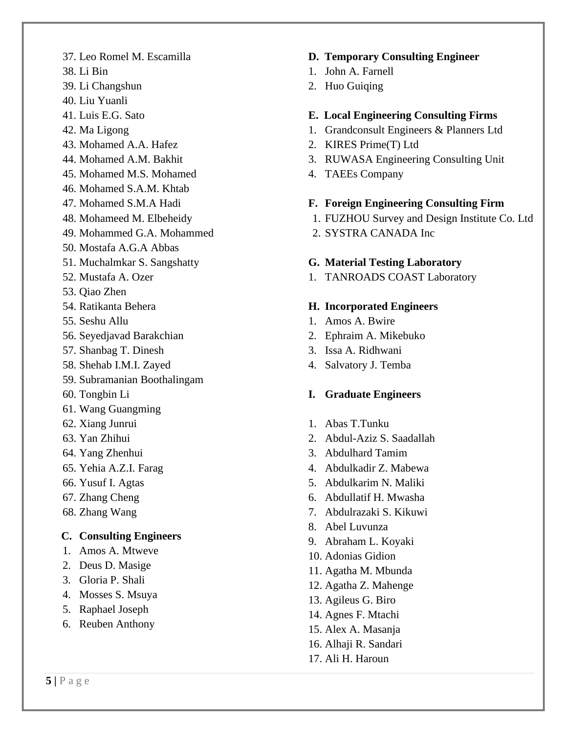37. Leo Romel M. Escamilla 38. Li Bin 39. Li Changshun 40. Liu Yuanli 41. Luis E.G. Sato 42. Ma Ligong 43. Mohamed A.A. Hafez 44. Mohamed A.M. Bakhit 45. Mohamed M.S. Mohamed 46. Mohamed S.A.M. Khtab 47. Mohamed S.M.A Hadi 48. Mohameed M. Elbeheidy 49. Mohammed G.A. Mohammed 50. Mostafa A.G.A Abbas 51. Muchalmkar S. Sangshatty 52. Mustafa A. Ozer 53. Qiao Zhen 54. Ratikanta Behera 55. Seshu Allu 56. Seyedjavad Barakchian 57. Shanbag T. Dinesh 58. Shehab I.M.I. Zayed 59. Subramanian Boothalingam 60. Tongbin Li 61. Wang Guangming 62. Xiang Junrui 63. Yan Zhihui 64. Yang Zhenhui 65. Yehia A.Z.I. Farag 66. Yusuf I. Agtas 67. Zhang Cheng 68. Zhang Wang **C. Consulting Engineers** 1. Amos A. Mtweve 2. Deus D. Masige 3. Gloria P. Shali

- 4. Mosses S. Msuya
- 5. Raphael Joseph
- 6. Reuben Anthony

# **D. Temporary Consulting Engineer**

- 1. John A. Farnell
- 2. Huo Guiging

## **E. Local Engineering Consulting Firms**

- 1. Grandconsult Engineers & Planners Ltd
- 2. KIRES Prime(T) Ltd
- 3. RUWASA Engineering Consulting Unit
- 4. TAEEs Company

### **F. Foreign Engineering Consulting Firm**

- 1. FUZHOU Survey and Design Institute Co. Ltd
- 2. SYSTRA CANADA Inc

### **G. Material Testing Laboratory**

1. TANROADS COAST Laboratory

### **H. Incorporated Engineers**

- 1. Amos A. Bwire
- 2. Ephraim A. Mikebuko
- 3. Issa A. Ridhwani
- 4. Salvatory J. Temba

## **I. Graduate Engineers**

- 1. Abas T.Tunku
- 2. Abdul-Aziz S. Saadallah
- 3. Abdulhard Tamim
- 4. Abdulkadir Z. Mabewa
- 5. Abdulkarim N. Maliki
- 6. Abdullatif H. Mwasha
- 7. Abdulrazaki S. Kikuwi
- 8. Abel Luvunza
- 9. Abraham L. Koyaki
- 10. Adonias Gidion
- 11. Agatha M. Mbunda
- 12. Agatha Z. Mahenge
- 13. Agileus G. Biro
- 14. Agnes F. Mtachi
- 15. Alex A. Masanja
- 16. Alhaji R. Sandari
- 17. Ali H. Haroun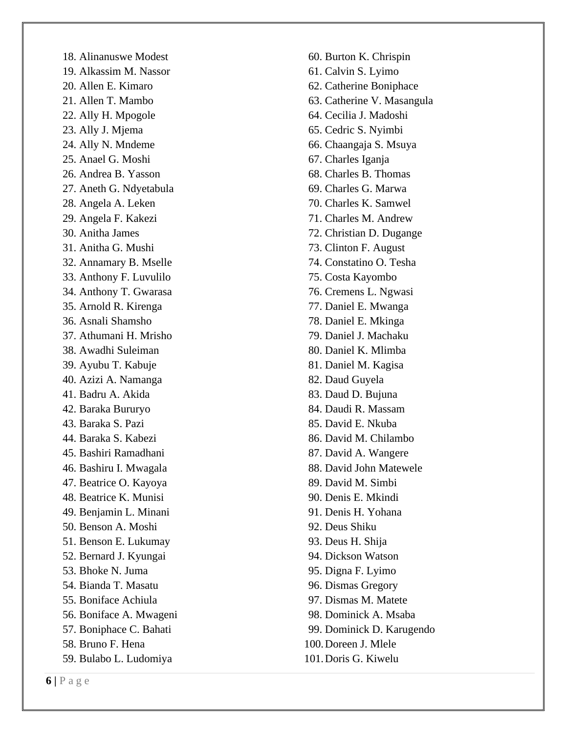18. Alinanuswe Modest 19. Alkassim M . Nassor 20. Allen E . Kimaro 21. Allen T. Mambo 22. Ally H . Mpogole 23. Ally J . Mjema 24. Ally N . Mndeme 25. Anael G . Moshi 26. Andrea B . Yasson 27. Aneth G . Ndyetabula 28. Angela A. Leken 29. Angela F . Kakezi 30. Anitha James 31. Anitha G . Mushi 32. Annamary B . Mselle 33. Anthony F . Luvulilo 34. Anthony T . Gwarasa 35. Arnold R . Kirenga 36. Asnali Shamsho 37. Athumani H . Mrisho 38. Awadhi Suleiman 39. Ayubu T . Kabuje 40. Azizi A . Namanga 41. Badru A . Akida 42. Baraka Bururyo 43. Baraka S . Pazi 44. Baraka S . Kabezi 45. Bashiri Ramadhani 46. Bashiru I . Mwagala 47. Beatrice O . Kayoya 48. Beatrice K . Munisi 49. Benjamin L . Minani 50. Benson A . Moshi 51. Benson E . Lukumay 52. Bernard J . Kyungai 53. Bhoke N . Juma 54. Bianda T . Masatu 55. Boniface Achiula 56. Boniface A . Mwageni 57. Boniphace C . Bahati 58. Bruno F. Hena 59. Bulabo L . Ludomiya

60. Burton K . Chrispin 61. Calvin S. Lyimo 62. Catherine Boniphace 63. Catherine V. Masangula 64. Cecilia J . Madoshi 65. Cedric S . Nyimbi 66. Chaangaja S . Msuya 67. Charles Iganja 68. Charles B . Thomas 69. Charles G . Marwa 70. Charles K . Samwel 71. Charles M . Andrew 72. Christian D . Dugange 73. Clinton F . August 74. Constatino O. Tesha 75. Costa Kayombo 76. Cremens L . Ngwasi 77. Daniel E . Mwanga 78. Daniel E . Mkinga 79. Daniel J . Machaku 80. Daniel K . Mlimba 81. Daniel M . Kagisa 82. Daud Guyela 83. Daud D . Bujuna 84. Daudi R . Massam 85. David E. Nkuba 86. David M. Chilambo 87. David A . Wangere 88. David John Matewele 89. David M . Simbi 90. Denis E . Mkindi 91. Denis H. Yohana 92. Deus Shiku 93. Deus H . Shija 94. Dickson Watson 95. Digna F . Lyimo 96. Dismas Gregory 97. Dismas M. Matete 98. Dominick A . Msaba 99. Dominick D . Karugendo 100.Doreen J . Mlele 101.Doris G . Kiwelu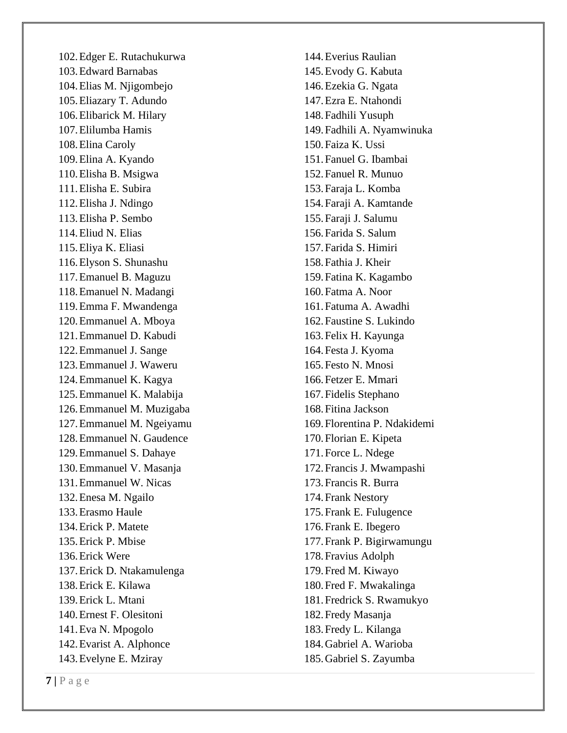102.Edger E. Rutachukurwa 103.Edward Barnabas 104.Elias M. Njigombejo 105.Eliazary T. Adundo 106.Elibarick M. Hilary 107.Elilumba Hamis 108.Elina Caroly 109.Elina A. Kyando 110.Elisha B. Msigwa 111.Elisha E. Subira 112.Elisha J. Ndingo 113.Elisha P. Sembo 114.Eliud N. Elias 115.Eliya K. Eliasi 116.Elyson S. Shunashu 117.Emanuel B. Maguzu 118.Emanuel N. Madangi 119.Emma F. Mwandenga 120.Emmanuel A. Mboya 121.Emmanuel D. Kabudi 122.Emmanuel J. Sange 123.Emmanuel J. Waweru 124.Emmanuel K. Kagya 125.Emmanuel K. Malabija 126.Emmanuel M. Muzigaba 127.Emmanuel M. Ngeiyamu 128.Emmanuel N. Gaudence 129.Emmanuel S. Dahaye 130.Emmanuel V. Masanja 131.Emmanuel W. Nicas 132.Enesa M. Ngailo 133.Erasmo Haule 134.Erick P. Matete 135.Erick P. Mbise 136.Erick Were 137.Erick D. Ntakamulenga 138.Erick E. Kilawa 139.Erick L. Mtani 140.Ernest F. Olesitoni 141.Eva N. Mpogolo 142.Evarist A. Alphonce 143.Evelyne E. Mziray

144.Everius Raulian 145.Evody G. Kabuta 146.Ezekia G. Ngata 147.Ezra E. Ntahondi 148.Fadhili Yusuph 149.Fadhili A. Nyamwinuka 150.Faiza K. Ussi 151.Fanuel G. Ibambai 152.Fanuel R. Munuo 153.Faraja L. Komba 154.Faraji A. Kamtande 155.Faraji J. Salumu 156.Farida S. Salum 157.Farida S. Himiri 158.Fathia J. Kheir 159.Fatina K. Kagambo 160.Fatma A. Noor 161.Fatuma A. Awadhi 162.Faustine S. Lukindo 163.Felix H. Kayunga 164.Festa J. Kyoma 165.Festo N. Mnosi 166.Fetzer E. Mmari 167.Fidelis Stephano 168.Fitina Jackson 169.Florentina P. Ndakidemi 170.Florian E. Kipeta 171.Force L. Ndege 172.Francis J. Mwampashi 173.Francis R. Burra 174.Frank Nestory 175.Frank E. Fulugence 176.Frank E. Ibegero 177.Frank P. Bigirwamungu 178.Fravius Adolph 179.Fred M. Kiwayo 180.Fred F. Mwakalinga 181.Fredrick S. Rwamukyo 182.Fredy Masanja 183.Fredy L. Kilanga 184.Gabriel A. Warioba 185.Gabriel S. Zayumba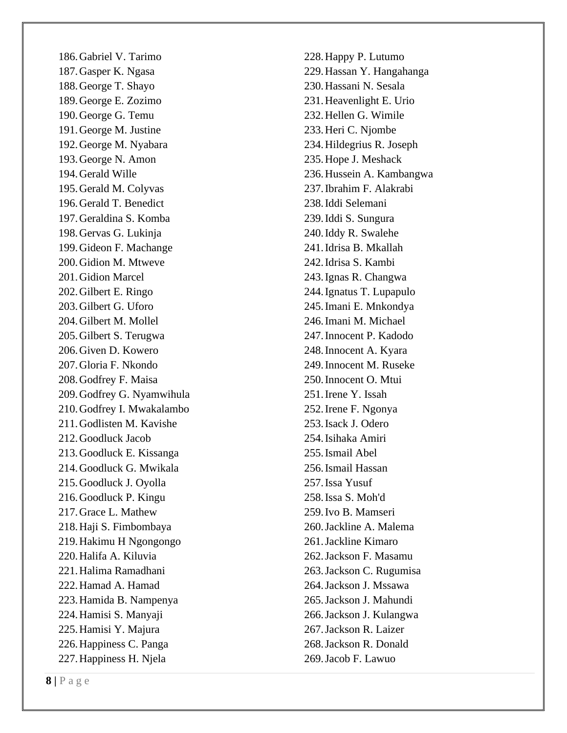186.Gabriel V. Tarimo 187.Gasper K. Ngasa 188.George T. Shayo 189.George E. Zozimo 190.George G. Temu 191.George M. Justine 192.George M. Nyabara 193.George N. Amon 194.Gerald Wille 195.Gerald M. Colyvas 196.Gerald T. Benedict 197.Geraldina S. Komba 198.Gervas G. Lukinja 199.Gideon F. Machange 200.Gidion M. Mtweve 201.Gidion Marcel 202.Gilbert E. Ringo 203.Gilbert G. Uforo 204.Gilbert M. Mollel 205.Gilbert S. Terugwa 206.Given D. Kowero 207.Gloria F. Nkondo 208.Godfrey F. Maisa 209.Godfrey G. Nyamwihula 210.Godfrey I. Mwakalambo 211.Godlisten M. Kavishe 212.Goodluck Jacob 213.Goodluck E. Kissanga 214.Goodluck G. Mwikala 215.Goodluck J. Oyolla 216.Goodluck P. Kingu 217.Grace L. Mathew 218.Haji S. Fimbombaya 219.Hakimu H Ngongongo 220.Halifa A. Kiluvia 221.Halima Ramadhani 222.Hamad A. Hamad 223.Hamida B. Nampenya 224.Hamisi S. Manyaji 225.Hamisi Y. Majura 226.Happiness C. Panga 227.Happiness H. Njela

228.Happy P. Lutumo 229.Hassan Y. Hangahanga 230.Hassani N. Sesala 231.Heavenlight E. Urio 232.Hellen G. Wimile 233.Heri C. Njombe 234.Hildegrius R. Joseph 235.Hope J. Meshack 236.Hussein A. Kambangwa 237.Ibrahim F. Alakrabi 238.Iddi Selemani 239.Iddi S. Sungura 240.Iddy R. Swalehe 241.Idrisa B. Mkallah 242.Idrisa S. Kambi 243.Ignas R. Changwa 244.Ignatus T. Lupapulo 245.Imani E. Mnkondya 246.Imani M. Michael 247.Innocent P. Kadodo 248.Innocent A. Kyara 249.Innocent M. Ruseke 250.Innocent O. Mtui 251.Irene Y. Issah 252.Irene F. Ngonya 253.Isack J. Odero 254.Isihaka Amiri 255.Ismail Abel 256.Ismail Hassan 257.Issa Yusuf 258.Issa S. Moh'd 259.Ivo B. Mamseri 260.Jackline A. Malema 261.Jackline Kimaro 262.Jackson F. Masamu 263.Jackson C. Rugumisa 264.Jackson J. Mssawa 265.Jackson J. Mahundi 266.Jackson J. Kulangwa 267.Jackson R. Laizer 268.Jackson R. Donald 269.Jacob F. Lawuo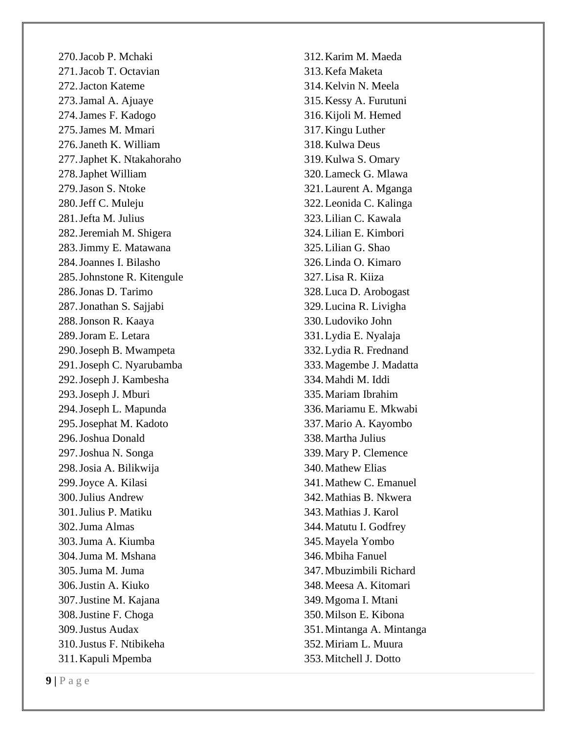270.Jacob P. Mchaki 271.Jacob T. Octavian 272.Jacton Kateme 273.Jamal A. Ajuaye 274.James F. Kadogo 275.James M. Mmari 276.Janeth K. William 277.Japhet K. Ntakahoraho 278.Japhet William 279.Jason S. Ntoke 280.Jeff C. Muleju 281.Jefta M. Julius 282.Jeremiah M. Shigera 283.Jimmy E. Matawana 284.Joannes I. Bilasho 285.Johnstone R. Kitengule 286.Jonas D. Tarimo 287.Jonathan S. Sajjabi 288.Jonson R. Kaaya 289.Joram E. Letara 290.Joseph B. Mwampeta 291.Joseph C. Nyarubamba 292.Joseph J. Kambesha 293.Joseph J. Mburi 294.Joseph L. Mapunda 295.Josephat M. Kadoto 296.Joshua Donald 297.Joshua N. Songa 298.Josia A. Bilikwija 299.Joyce A. Kilasi 300.Julius Andrew 301.Julius P. Matiku 302.Juma Almas 303.Juma A. Kiumba 304.Juma M. Mshana 305.Juma M. Juma 306.Justin A. Kiuko 307.Justine M. Kajana 308.Justine F. Choga 309.Justus Audax 310.Justus F. Ntibikeha 311.Kapuli Mpemba

312.Karim M. Maeda 313.Kefa Maketa 314.Kelvin N. Meela 315.Kessy A. Furutuni 316.Kijoli M. Hemed 317.Kingu Luther 318.Kulwa Deus 319.Kulwa S. Omary 320.Lameck G. Mlawa 321.Laurent A. Mganga 322.Leonida C. Kalinga 323.Lilian C. Kawala 324.Lilian E. Kimbori 325.Lilian G. Shao 326.Linda O. Kimaro 327.Lisa R. Kiiza 328.Luca D. Arobogast 329.Lucina R. Livigha 330.Ludoviko John 331.Lydia E. Nyalaja 332.Lydia R. Frednand 333.Magembe J. Madatta 334.Mahdi M. Iddi 335.Mariam Ibrahim 336.Mariamu E. Mkwabi 337.Mario A. Kayombo 338.Martha Julius 339.Mary P. Clemence 340.Mathew Elias 341.Mathew C. Emanuel 342.Mathias B. Nkwera 343.Mathias J. Karol 344.Matutu I. Godfrey 345.Mayela Yombo 346.Mbiha Fanuel 347.Mbuzimbili Richard 348.Meesa A. Kitomari 349.Mgoma I. Mtani 350.Milson E. Kibona 351.Mintanga A. Mintanga 352.Miriam L. Muura 353.Mitchell J. Dotto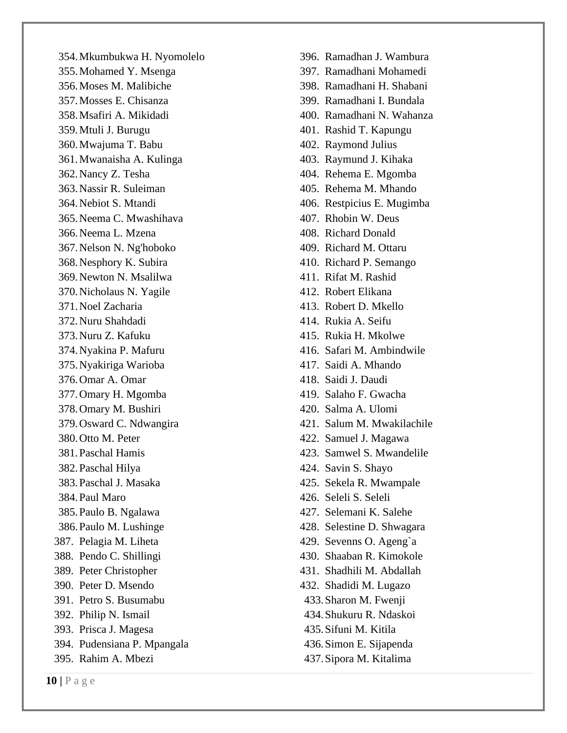354.Mkumbukwa H. Nyomolelo 355.Mohamed Y. Msenga 356.Moses M. Malibiche 357.Mosses E. Chisanza 358.Msafiri A. Mikidadi 359.Mtuli J. Burugu 360.Mwajuma T. Babu 361.Mwanaisha A. Kulinga 362.Nancy Z. Tesha 363.Nassir R. Suleiman 364.Nebiot S. Mtandi 365.Neema C. Mwashihava 366.Neema L. Mzena 367.Nelson N. Ng'hoboko 368.Nesphory K. Subira 369.Newton N. Msalilwa 370.Nicholaus N. Yagile 371.Noel Zacharia 372.Nuru Shahdadi 373.Nuru Z. Kafuku 374.Nyakina P. Mafuru 375.Nyakiriga Warioba 376.Omar A. Omar 377.Omary H. Mgomba 378.Omary M. Bushiri 379.Osward C. Ndwangira 380.Otto M. Peter 381.Paschal Hamis 382.Paschal Hilya 383.Paschal J. Masaka 384.Paul Maro 385.Paulo B. Ngalawa 386.Paulo M. Lushinge 387. Pelagia M. Liheta 388. Pendo C. Shillingi 389. Peter Christopher 390. Peter D. Msendo 391. Petro S. Busumabu 392. Philip N. Ismail 393. Prisca J. Magesa 394. Pudensiana P. Mpangala 395. Rahim A. Mbezi

396. Ramadhan J. Wambura 397. Ramadhani Mohamedi 398. Ramadhani H. Shabani 399. Ramadhani I. Bundala 400. Ramadhani N. Wahanza 401. Rashid T. Kapungu 402. Raymond Julius 403. Raymund J. Kihaka 404. Rehema E. Mgomba 405. Rehema M. Mhando 406. Restpicius E. Mugimba 407. Rhobin W. Deus 408. Richard Donald 409. Richard M. Ottaru 410. Richard P. Semango 411. Rifat M. Rashid 412. Robert Elikana 413. Robert D. Mkello 414. Rukia A. Seifu 415. Rukia H. Mkolwe 416. Safari M. Ambindwile 417. Saidi A. Mhando 418. Saidi J. Daudi 419. Salaho F. Gwacha 420. Salma A. Ulomi 421. Salum M. Mwakilachile 422. Samuel J. Magawa 423. Samwel S. Mwandelile 424. Savin S. Shayo 425. Sekela R. Mwampale 426. Seleli S. Seleli 427. Selemani K. Salehe 428. Selestine D. Shwagara 429. Sevenns O. Ageng`a 430. Shaaban R. Kimokole 431. Shadhili M. Abdallah 432. Shadidi M. Lugazo 433.Sharon M. Fwenji 434.Shukuru R. Ndaskoi 435.Sifuni M. Kitila 436.Simon E. Sijapenda 437.Sipora M. Kitalima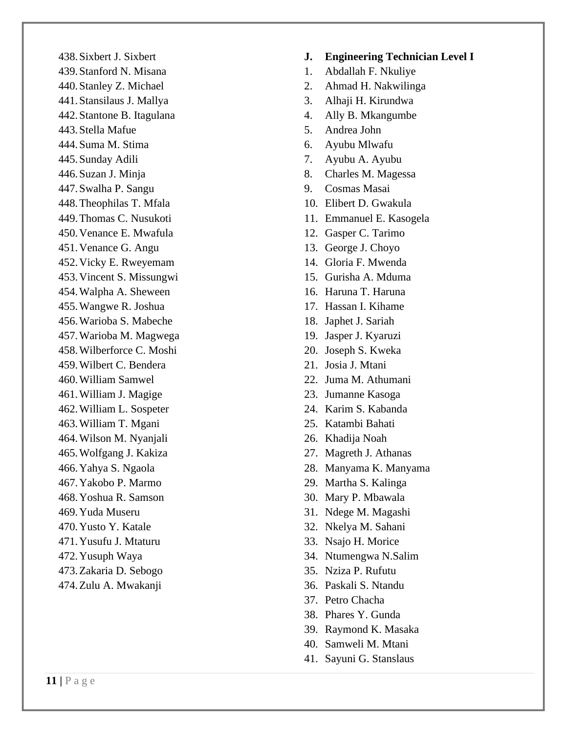438.Sixbert J. Sixbert 439.Stanford N. Misana 440.Stanley Z. Michael 441.Stansilaus J. Mallya 442.Stantone B. Itagulana 443.Stella Mafue 444.Suma M. Stima 445.Sunday Adili 446.Suzan J. Minja 447.Swalha P. Sangu 448.Theophilas T. Mfala 449.Thomas C. Nusukoti 450.Venance E. Mwafula 451.Venance G. Angu 452.Vicky E. Rweyemam 453.Vincent S. Missungwi 454.Walpha A. Sheween 455.Wangwe R. Joshua 456.Warioba S. Mabeche 457.Warioba M. Magwega 458.Wilberforce C. Moshi 459.Wilbert C. Bendera 460.William Samwel 461.William J. Magige 462.William L. Sospeter 463.William T. Mgani 464.Wilson M. Nyanjali 465.Wolfgang J. Kakiza 466.Yahya S. Ngaola 467.Yakobo P. Marmo 468.Yoshua R. Samson 469.Yuda Museru 470.Yusto Y. Katale 471.Yusufu J. Mtaturu 472.Yusuph Waya 473.Zakaria D. Sebogo 474.Zulu A. Mwakanji

#### **J. Engineering Technician Level I**

- 1. Abdallah F. Nkuliye
- 2. Ahmad H. Nakwilinga
- 3. Alhaji H. Kirundwa
- 4. Ally B. Mkangumbe
- 5. Andrea John
- 6. Ayubu Mlwafu
- 7. Ayubu A. Ayubu
- 8. Charles M. Magessa
- 9. Cosmas Masai
- 10. Elibert D. Gwakula
- 11. Emmanuel E. Kasogela
- 12. Gasper C. Tarimo
- 13. George J. Choyo
- 14. Gloria F. Mwenda
- 15. Gurisha A. Mduma
- 16. Haruna T. Haruna
- 17. Hassan I. Kihame
- 18. Japhet J. Sariah
- 19. Jasper J. Kyaruzi
- 20. Joseph S. Kweka
- 21. Josia J. Mtani
- 22. Juma M. Athumani
- 23. Jumanne Kasoga
- 24. Karim S. Kabanda
- 25. Katambi Bahati
- 26. Khadija Noah
- 27. Magreth J. Athanas
- 28. Manyama K. Manyama
- 29. Martha S. Kalinga
- 30. Mary P. Mbawala
- 31. Ndege M. Magashi
- 32. Nkelya M. Sahani
- 33. Nsajo H. Morice
- 34. Ntumengwa N.Salim
- 35. Nziza P. Rufutu
- 36. Paskali S. Ntandu
- 37. Petro Chacha
- 38. Phares Y. Gunda
- 39. Raymond K. Masaka
- 40. Samweli M. Mtani
- 41. Sayuni G. Stanslaus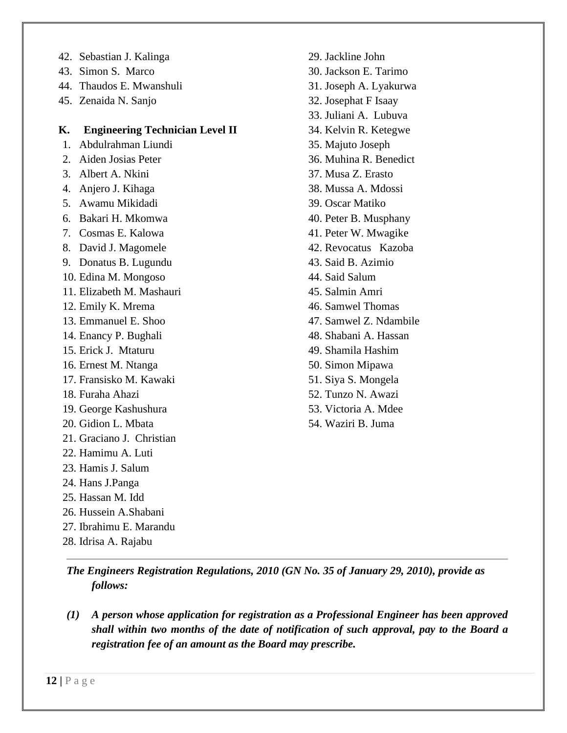- 42. Sebastian J. Kalinga
- 43. Simon S. Marco
- 44. Thaudos E. Mwanshuli
- 45. Zenaida N. Sanjo

#### **K. Engineering Technician Level II**

- 1. Abdulrahman Liundi
- 2. Aiden Josias Peter
- 3. Albert A. Nkini
- 4. Anjero J. Kihaga
- 5. Awamu Mikidadi
- 6. Bakari H. Mkomwa
- 7. Cosmas E. Kalowa
- 8. David J. Magomele
- 9. Donatus B. Lugundu
- 10. Edina M. Mongoso
- 11. Elizabeth M. Mashauri
- 12. Emily K. Mrema
- 13. Emmanuel E. Shoo
- 14. Enancy P. Bughali
- 15. Erick J. Mtaturu
- 16. Ernest M. Ntanga
- 17. Fransisko M. Kawaki
- 18. Furaha Ahazi
- 19. George Kashushura
- 20. Gidion L. Mbata
- 21. Graciano J. Christian
- 22. Hamimu A. Luti
- 23. Hamis J. Salum
- 24. Hans J.Panga
- 25. Hassan M. Idd
- 26. Hussein A.Shabani
- 27. Ibrahimu E. Marandu
- 28. Idrisa A. Rajabu
- 29. Jackline John 30. Jackson E. Tarimo 31. Joseph A. Lyakurwa 32. Josephat F Isaay 33. Juliani A. Lubuva 34. Kelvin R. Ketegwe 35. Majuto Joseph 36. Muhina R. Benedict 37. Musa Z. Erasto 38. Mussa A. Mdossi 39. Oscar Matiko 40. Peter B. Musphany 41. Peter W. Mwagike 42. Revocatus Kazoba 43. Said B. Azimio 44. Said Salum 45. Salmin Amri 46. Samwel Thomas 47. Samwel Z. Ndambile 48. Shabani A. Hassan 49. Shamila Hashim 50. Simon Mipawa 51. Siya S. Mongela
- 52. Tunzo N. Awazi
- 53. Victoria A. Mdee
- 54. Waziri B. Juma

*The Engineers Registration Regulations, 2010 (GN No. 35 of January 29, 2010), provide as follows:*

*(1) A person whose application for registration as a Professional Engineer has been approved shall within two months of the date of notification of such approval, pay to the Board a registration fee of an amount as the Board may prescribe.*